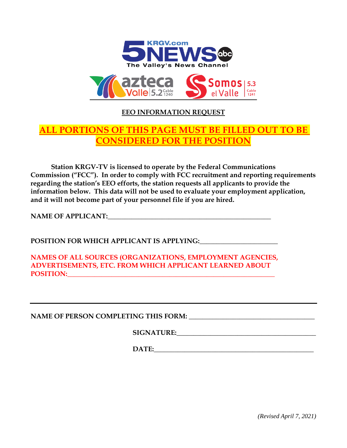

## **EEO INFORMATION REQUEST**

## **ALL PORTIONS OF THIS PAGE MUST BE FILLED OUT TO BE CONSIDERED FOR THE POSITION**

**Station KRGV-TV is licensed to operate by the Federal Communications Commission ("FCC"). In order to comply with FCC recruitment and reporting requirements regarding the station's EEO efforts, the station requests all applicants to provide the information below. This data will not be used to evaluate your employment application, and it will not become part of your personnel file if you are hired.**

**NAME OF APPLICANT:\_\_\_\_\_\_\_\_\_\_\_\_\_\_\_\_\_\_\_\_\_\_\_\_\_\_\_\_\_\_\_\_\_\_\_\_\_\_\_\_\_\_\_\_\_\_\_\_**

**POSITION FOR WHICH APPLICANT IS APPLYING:\_\_\_\_\_\_\_\_\_\_\_\_\_\_\_\_\_\_\_\_\_\_\_**

**NAMES OF ALL SOURCES (ORGANIZATIONS, EMPLOYMENT AGENCIES, ADVERTISEMENTS, ETC. FROM WHICH APPLICANT LEARNED ABOUT POSITION:** 

**NAME OF PERSON COMPLETING THIS FORM: \_\_\_\_\_\_\_\_\_\_\_\_\_\_\_\_\_\_\_\_\_\_\_\_\_\_\_\_\_\_\_\_\_\_\_\_\_**

**SIGNATURE:** 

**DATE:** 

*(Revised April 7, 2021)*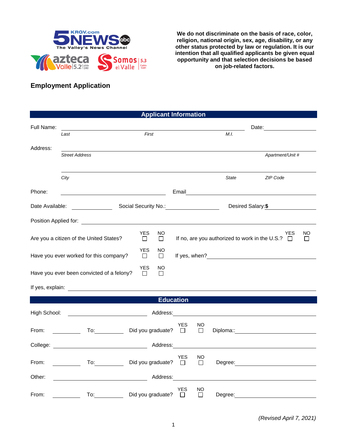

**We do not discriminate on the basis of race, color, religion, national origin, sex, age, disability, or any other status protected by law or regulation. It is our intention that all qualified applicants be given equal opportunity and that selection decisions be based on job-related factors.**

## **Employment Application**

| <b>Applicant Information</b>                                                                                                                                                                                                         |                                                                                                                     |                             |               |                   |              |                                                                                                                                                                                                                                      |  |
|--------------------------------------------------------------------------------------------------------------------------------------------------------------------------------------------------------------------------------------|---------------------------------------------------------------------------------------------------------------------|-----------------------------|---------------|-------------------|--------------|--------------------------------------------------------------------------------------------------------------------------------------------------------------------------------------------------------------------------------------|--|
| Full Name:                                                                                                                                                                                                                           |                                                                                                                     |                             |               |                   |              | Date:                                                                                                                                                                                                                                |  |
|                                                                                                                                                                                                                                      | Last                                                                                                                | First                       |               |                   | M.I.         |                                                                                                                                                                                                                                      |  |
| Address:                                                                                                                                                                                                                             | <b>Street Address</b>                                                                                               |                             |               |                   |              | Apartment/Unit #                                                                                                                                                                                                                     |  |
|                                                                                                                                                                                                                                      | City                                                                                                                |                             |               |                   | <b>State</b> | ZIP Code                                                                                                                                                                                                                             |  |
| Phone:                                                                                                                                                                                                                               | <u> 1980 - Johann Barn, mars eta bainar eta baina eta baina eta baina eta baina eta baina eta baina eta baina e</u> |                             | Email         |                   |              |                                                                                                                                                                                                                                      |  |
| Date Available:<br>Social Security No.: No.: Note that the security No.:                                                                                                                                                             |                                                                                                                     |                             |               | Desired Salary:\$ |              |                                                                                                                                                                                                                                      |  |
| Position Applied for: The Contract of the Contract of the Contract of the Contract of the Contract of the Contract of the Contract of the Contract of the Contract of the Contract of the Contract of the Contract of the Cont       |                                                                                                                     |                             |               |                   |              |                                                                                                                                                                                                                                      |  |
| <b>YES</b><br>NO<br>YES<br>Are you a citizen of the United States?<br>If no, are you authorized to work in the U.S.? $\Box$<br>$\Box$<br>$\Box$                                                                                      |                                                                                                                     |                             |               |                   |              | NO.<br>$\Box$                                                                                                                                                                                                                        |  |
| <b>YES</b><br>NO<br>Have you ever worked for this company?<br>$\Box$<br>$\Box$                                                                                                                                                       |                                                                                                                     |                             |               |                   |              |                                                                                                                                                                                                                                      |  |
| <b>YES</b><br>NO<br>Have you ever been convicted of a felony?<br>$\Box$<br>$\Box$                                                                                                                                                    |                                                                                                                     |                             |               |                   |              |                                                                                                                                                                                                                                      |  |
| If yes, explain: <u>contract the set of the set of the set of the set of the set of the set of the set of the set of the set of the set of the set of the set of the set of the set of the set of the set of the set of the set </u> |                                                                                                                     |                             |               |                   |              |                                                                                                                                                                                                                                      |  |
| <b>Education</b>                                                                                                                                                                                                                     |                                                                                                                     |                             |               |                   |              |                                                                                                                                                                                                                                      |  |
| High School:<br><u> 1990 - Johann Barbara, martin a</u><br>Address:                                                                                                                                                                  |                                                                                                                     |                             |               |                   |              |                                                                                                                                                                                                                                      |  |
| From:                                                                                                                                                                                                                                | $\overline{a}$                                                                                                      | Did you graduate?           | YES<br>$\Box$ | NO<br>$\Box$      |              | Diploma:: <u>contract and the contract of the contract of the contract of the contract of the contract of the contract of the contract of the contract of the contract of the contract of the contract of the contract of the co</u> |  |
| Address:<br>College:                                                                                                                                                                                                                 |                                                                                                                     |                             |               |                   |              |                                                                                                                                                                                                                                      |  |
| From:                                                                                                                                                                                                                                | To: $\qquad \qquad \qquad \qquad$                                                                                   | Did you graduate? $\square$ | YES           | NO.<br>$\Box$     |              |                                                                                                                                                                                                                                      |  |
| Address:<br>Other:                                                                                                                                                                                                                   |                                                                                                                     |                             |               |                   |              |                                                                                                                                                                                                                                      |  |
| From:                                                                                                                                                                                                                                | $\overline{a}$ To:                                                                                                  | Did you graduate?           | YES<br>$\Box$ | NO<br>$\Box$      | Degree:      |                                                                                                                                                                                                                                      |  |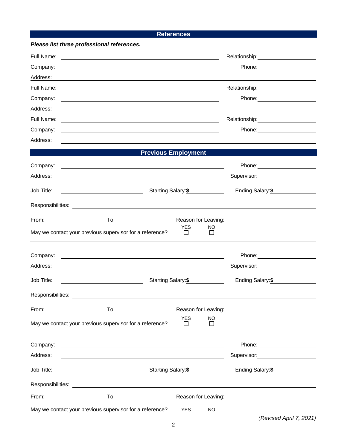## **References**

| Please list three professional references.                                                                                                                                                                                                   |                                                                                                                                                                                                                                        |
|----------------------------------------------------------------------------------------------------------------------------------------------------------------------------------------------------------------------------------------------|----------------------------------------------------------------------------------------------------------------------------------------------------------------------------------------------------------------------------------------|
| Full Name:<br><u> 1980 - Johann Barn, mars ann an t-Amhain Aonaich an t-Aonaich an t-Aonaich an t-Aonaich an t-Aonaich an t-Aon</u>                                                                                                          | Relationship: \\square\\square\\square\\square\\square\\square\\square\\square\\square\\square\\square\\square\                                                                                                                        |
| Company:                                                                                                                                                                                                                                     |                                                                                                                                                                                                                                        |
| Address:                                                                                                                                                                                                                                     |                                                                                                                                                                                                                                        |
| Full Name:                                                                                                                                                                                                                                   | Relationship: Network of the state of the state of the state of the state of the state of the state of the state of the state of the state of the state of the state of the state of the state of the state of the state of th         |
| Company:                                                                                                                                                                                                                                     |                                                                                                                                                                                                                                        |
| Address:                                                                                                                                                                                                                                     |                                                                                                                                                                                                                                        |
| Full Name:<br><u> 1989 - Johann Stoff, amerikansk politiker (d. 1989)</u>                                                                                                                                                                    |                                                                                                                                                                                                                                        |
| Company:                                                                                                                                                                                                                                     |                                                                                                                                                                                                                                        |
| Address:                                                                                                                                                                                                                                     | <u> 1989 - Johann Stoff, amerikansk politiker (* 1908)</u>                                                                                                                                                                             |
|                                                                                                                                                                                                                                              | <b>Previous Employment</b>                                                                                                                                                                                                             |
| Company:                                                                                                                                                                                                                                     |                                                                                                                                                                                                                                        |
| Address:                                                                                                                                                                                                                                     |                                                                                                                                                                                                                                        |
| Job Title:<br><u> 1980 - Johann Barbara, martin a</u>                                                                                                                                                                                        | Starting Salary:\$<br>Ending Salary:\$                                                                                                                                                                                                 |
|                                                                                                                                                                                                                                              |                                                                                                                                                                                                                                        |
| From:                                                                                                                                                                                                                                        | Reason for Leaving:<br><u>Next and the set of the set of the set of the set of the set of the set of the set of the set of the set of the set of the set of the set of the set of the set of the set of the set of the set of the </u> |
| May we contact your previous supervisor for a reference?                                                                                                                                                                                     | <b>YES</b><br><b>NO</b><br>$\mathsf{L}$<br>l 1                                                                                                                                                                                         |
| Company:                                                                                                                                                                                                                                     |                                                                                                                                                                                                                                        |
| Address:                                                                                                                                                                                                                                     | Supervisor: Victor Communication Communication                                                                                                                                                                                         |
| Job Title:                                                                                                                                                                                                                                   | Ending Salary:\$<br>Starting Salary:\$                                                                                                                                                                                                 |
| Responsibilities:                                                                                                                                                                                                                            |                                                                                                                                                                                                                                        |
| From:                                                                                                                                                                                                                                        | Reason for Leaving:<br><u> Reason</u> for Leaving:                                                                                                                                                                                     |
| May we contact your previous supervisor for a reference?                                                                                                                                                                                     | <b>YES</b><br><b>NO</b><br>$\perp$<br>$\mathsf{L}$                                                                                                                                                                                     |
| Company:                                                                                                                                                                                                                                     |                                                                                                                                                                                                                                        |
| Address:                                                                                                                                                                                                                                     | Supervisor: Supervisor:                                                                                                                                                                                                                |
| Job Title:<br><u> 1989 - Johann Barnett, fransk politiker (</u>                                                                                                                                                                              | Starting Salary: \$<br>Ending Salary: \$                                                                                                                                                                                               |
|                                                                                                                                                                                                                                              |                                                                                                                                                                                                                                        |
| From:<br><b>To:</b> the contract of the contract of the contract of the contract of the contract of the contract of the contract of the contract of the contract of the contract of the contract of the contract of the contract of the cont | Reason for Leaving: The contract of the contract of the contract of the contract of the contract of the contract of the contract of the contract of the contract of the contract of the contract of the contract of the contra         |
| May we contact your previous supervisor for a reference?                                                                                                                                                                                     | <b>YES</b><br><b>NO</b>                                                                                                                                                                                                                |

*(Revised April 7, 2021)*